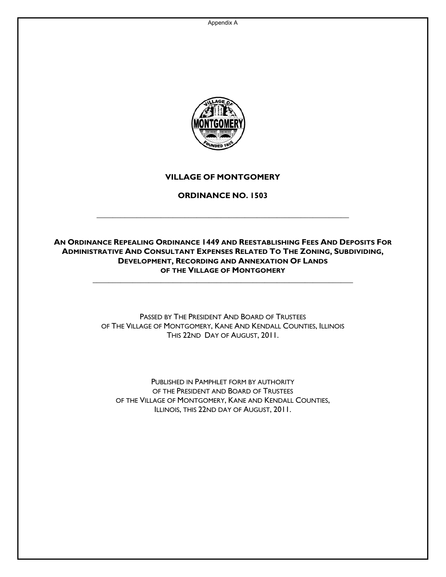Appendix A



# **VILLAGE OF MONTGOMERY**

### **ORDINANCE NO. 1503**

**\_\_\_\_\_\_\_\_\_\_\_\_\_\_\_\_\_\_\_\_\_\_\_\_\_\_\_\_\_\_\_\_\_\_\_\_\_\_\_\_\_\_\_\_\_\_\_\_\_\_\_\_\_\_\_\_\_\_\_\_\_\_\_** 

### **AN ORDINANCE REPEALING ORDINANCE 1449 AND REESTABLISHING FEES AND DEPOSITS FOR ADMINISTRATIVE AND CONSULTANT EXPENSES RELATED TO THE ZONING, SUBDIVIDING, DEVELOPMENT, RECORDING AND ANNEXATION OF LANDS OF THE VILLAGE OF MONTGOMERY**

**\_\_\_\_\_\_\_\_\_\_\_\_\_\_\_\_\_\_\_\_\_\_\_\_\_\_\_\_\_\_\_\_\_\_\_\_\_\_\_\_\_\_\_\_\_\_\_\_\_\_\_\_\_\_\_\_\_\_\_\_\_\_\_\_\_** 

PASSED BY THE PRESIDENT AND BOARD OF TRUSTEES OF THE VILLAGE OF MONTGOMERY, KANE AND KENDALL COUNTIES, ILLINOIS THIS 22ND DAY OF AUGUST, 2011.

PUBLISHED IN PAMPHLET FORM BY AUTHORITY OF THE PRESIDENT AND BOARD OF TRUSTEES OF THE VILLAGE OF MONTGOMERY, KANE AND KENDALL COUNTIES, ILLINOIS, THIS 22ND DAY OF AUGUST, 2011.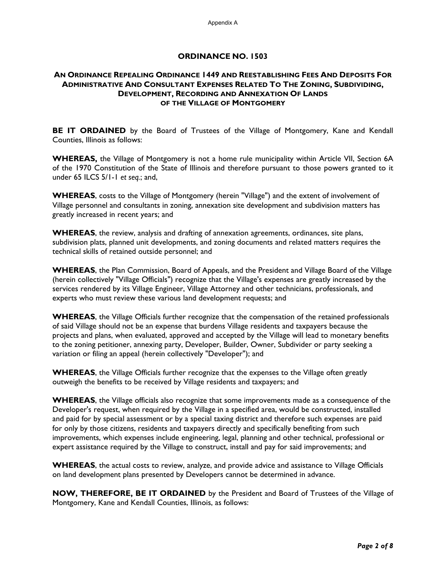### **ORDINANCE NO. 1503**

### **AN ORDINANCE REPEALING ORDINANCE 1449 AND REESTABLISHING FEES AND DEPOSITS FOR ADMINISTRATIVE AND CONSULTANT EXPENSES RELATED TO THE ZONING, SUBDIVIDING, DEVELOPMENT, RECORDING AND ANNEXATION OF LANDS OF THE VILLAGE OF MONTGOMERY**

**BE IT ORDAINED** by the Board of Trustees of the Village of Montgomery, Kane and Kendall Counties, Illinois as follows:

**WHEREAS,** the Village of Montgomery is not a home rule municipality within Article VII, Section 6A of the 1970 Constitution of the State of Illinois and therefore pursuant to those powers granted to it under 65 ILCS 5/1-1 *et seq.*; and,

**WHEREAS**, costs to the Village of Montgomery (herein "Village") and the extent of involvement of Village personnel and consultants in zoning, annexation site development and subdivision matters has greatly increased in recent years; and

**WHEREAS**, the review, analysis and drafting of annexation agreements, ordinances, site plans, subdivision plats, planned unit developments, and zoning documents and related matters requires the technical skills of retained outside personnel; and

**WHEREAS**, the Plan Commission, Board of Appeals, and the President and Village Board of the Village (herein collectively "Village Officials") recognize that the Village's expenses are greatly increased by the services rendered by its Village Engineer, Village Attorney and other technicians, professionals, and experts who must review these various land development requests; and

**WHEREAS**, the Village Officials further recognize that the compensation of the retained professionals of said Village should not be an expense that burdens Village residents and taxpayers because the projects and plans, when evaluated, approved and accepted by the Village will lead to monetary benefits to the zoning petitioner, annexing party, Developer, Builder, Owner, Subdivider or party seeking a variation or filing an appeal (herein collectively "Developer"); and

**WHEREAS**, the Village Officials further recognize that the expenses to the Village often greatly outweigh the benefits to be received by Village residents and taxpayers; and

**WHEREAS**, the Village officials also recognize that some improvements made as a consequence of the Developer's request, when required by the Village in a specified area, would be constructed, installed and paid for by special assessment or by a special taxing district and therefore such expenses are paid for only by those citizens, residents and taxpayers directly and specifically benefiting from such improvements, which expenses include engineering, legal, planning and other technical, professional or expert assistance required by the Village to construct, install and pay for said improvements; and

**WHEREAS**, the actual costs to review, analyze, and provide advice and assistance to Village Officials on land development plans presented by Developers cannot be determined in advance.

**NOW, THEREFORE, BE IT ORDAINED** by the President and Board of Trustees of the Village of Montgomery, Kane and Kendall Counties, Illinois, as follows: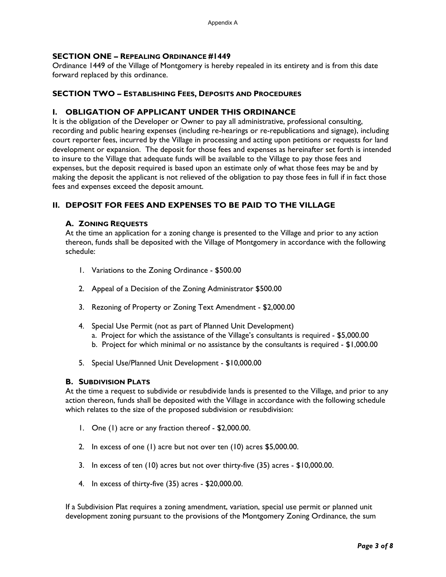### **SECTION ONE – REPEALING ORDINANCE #1449**

Ordinance 1449 of the Village of Montgomery is hereby repealed in its entirety and is from this date forward replaced by this ordinance.

### **SECTION TWO – ESTABLISHING FEES, DEPOSITS AND PROCEDURES**

### **I. OBLIGATION OF APPLICANT UNDER THIS ORDINANCE**

It is the obligation of the Developer or Owner to pay all administrative, professional consulting, recording and public hearing expenses (including re-hearings or re-republications and signage), including court reporter fees, incurred by the Village in processing and acting upon petitions or requests for land development or expansion. The deposit for those fees and expenses as hereinafter set forth is intended to insure to the Village that adequate funds will be available to the Village to pay those fees and expenses, but the deposit required is based upon an estimate only of what those fees may be and by making the deposit the applicant is not relieved of the obligation to pay those fees in full if in fact those fees and expenses exceed the deposit amount.

### **II. DEPOSIT FOR FEES AND EXPENSES TO BE PAID TO THE VILLAGE**

### **A. ZONING REQUESTS**

At the time an application for a zoning change is presented to the Village and prior to any action thereon, funds shall be deposited with the Village of Montgomery in accordance with the following schedule:

- 1. Variations to the Zoning Ordinance \$500.00
- 2. Appeal of a Decision of the Zoning Administrator \$500.00
- 3. Rezoning of Property or Zoning Text Amendment \$2,000.00
- 4. Special Use Permit (not as part of Planned Unit Development)
	- a. Project for which the assistance of the Village's consultants is required \$5,000.00
	- b. Project for which minimal or no assistance by the consultants is required \$1,000.00
- 5. Special Use/Planned Unit Development \$10,000.00

#### **B. SUBDIVISION PLATS**

At the time a request to subdivide or resubdivide lands is presented to the Village, and prior to any action thereon, funds shall be deposited with the Village in accordance with the following schedule which relates to the size of the proposed subdivision or resubdivision:

- 1. One (1) acre or any fraction thereof \$2,000.00.
- 2. In excess of one (1) acre but not over ten (10) acres \$5,000.00.
- 3. In excess of ten (10) acres but not over thirty-five (35) acres \$10,000.00.
- 4. In excess of thirty-five (35) acres \$20,000.00.

If a Subdivision Plat requires a zoning amendment, variation, special use permit or planned unit development zoning pursuant to the provisions of the Montgomery Zoning Ordinance, the sum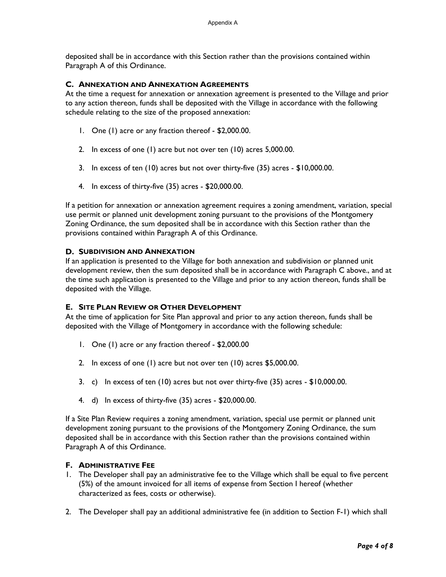deposited shall be in accordance with this Section rather than the provisions contained within Paragraph A of this Ordinance.

#### **C. ANNEXATION AND ANNEXATION AGREEMENTS**

At the time a request for annexation or annexation agreement is presented to the Village and prior to any action thereon, funds shall be deposited with the Village in accordance with the following schedule relating to the size of the proposed annexation:

- 1. One (1) acre or any fraction thereof \$2,000.00.
- 2. In excess of one (1) acre but not over ten (10) acres 5,000.00.
- 3. In excess of ten (10) acres but not over thirty-five (35) acres \$10,000.00.
- 4. In excess of thirty-five (35) acres \$20,000.00.

If a petition for annexation or annexation agreement requires a zoning amendment, variation, special use permit or planned unit development zoning pursuant to the provisions of the Montgomery Zoning Ordinance, the sum deposited shall be in accordance with this Section rather than the provisions contained within Paragraph A of this Ordinance.

### **D. SUBDIVISION AND ANNEXATION**

If an application is presented to the Village for both annexation and subdivision or planned unit development review, then the sum deposited shall be in accordance with Paragraph C above., and at the time such application is presented to the Village and prior to any action thereon, funds shall be deposited with the Village.

### **E. SITE PLAN REVIEW OR OTHER DEVELOPMENT**

At the time of application for Site Plan approval and prior to any action thereon, funds shall be deposited with the Village of Montgomery in accordance with the following schedule:

- 1. One (1) acre or any fraction thereof \$2,000.00
- 2. In excess of one (1) acre but not over ten (10) acres \$5,000.00.
- 3. c) In excess of ten (10) acres but not over thirty-five (35) acres \$10,000.00.
- 4. d) In excess of thirty-five (35) acres \$20,000.00.

If a Site Plan Review requires a zoning amendment, variation, special use permit or planned unit development zoning pursuant to the provisions of the Montgomery Zoning Ordinance, the sum deposited shall be in accordance with this Section rather than the provisions contained within Paragraph A of this Ordinance.

### **F. ADMINISTRATIVE FEE**

- 1. The Developer shall pay an administrative fee to the Village which shall be equal to five percent (5%) of the amount invoiced for all items of expense from Section I hereof (whether characterized as fees, costs or otherwise).
- 2. The Developer shall pay an additional administrative fee (in addition to Section F-1) which shall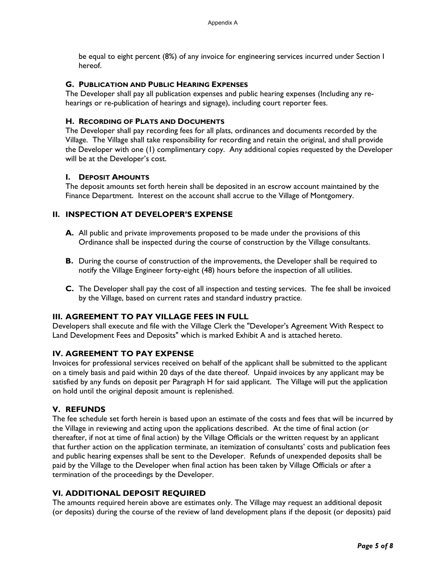be equal to eight percent (8%) of any invoice for engineering services incurred under Section I hereof.

### **G. PUBLICATION AND PUBLIC HEARING EXPENSES**

The Developer shall pay all publication expenses and public hearing expenses (Including any rehearings or re-publication of hearings and signage), including court reporter fees.

### **H. RECORDING OF PLATS AND DOCUMENTS**

The Developer shall pay recording fees for all plats, ordinances and documents recorded by the Village. The Village shall take responsibility for recording and retain the original, and shall provide the Developer with one (1) complimentary copy. Any additional copies requested by the Developer will be at the Developer's cost.

### **I. DEPOSIT AMOUNTS**

The deposit amounts set forth herein shall be deposited in an escrow account maintained by the Finance Department. Interest on the account shall accrue to the Village of Montgomery.

# **II. INSPECTION AT DEVELOPER'S EXPENSE**

- **A.** All public and private improvements proposed to be made under the provisions of this Ordinance shall be inspected during the course of construction by the Village consultants.
- **B.** During the course of construction of the improvements, the Developer shall be required to notify the Village Engineer forty-eight (48) hours before the inspection of all utilities.
- **C.** The Developer shall pay the cost of all inspection and testing services. The fee shall be invoiced by the Village, based on current rates and standard industry practice.

# **III. AGREEMENT TO PAY VILLAGE FEES IN FULL**

Developers shall execute and file with the Village Clerk the "Developer's Agreement With Respect to Land Development Fees and Deposits" which is marked Exhibit A and is attached hereto.

# **IV. AGREEMENT TO PAY EXPENSE**

Invoices for professional services received on behalf of the applicant shall be submitted to the applicant on a timely basis and paid within 20 days of the date thereof. Unpaid invoices by any applicant may be satisfied by any funds on deposit per Paragraph H for said applicant. The Village will put the application on hold until the original deposit amount is replenished.

# **V. REFUNDS**

The fee schedule set forth herein is based upon an estimate of the costs and fees that will be incurred by the Village in reviewing and acting upon the applications described. At the time of final action (or thereafter, if not at time of final action) by the Village Officials or the written request by an applicant that further action on the application terminate, an itemization of consultants' costs and publication fees and public hearing expenses shall be sent to the Developer. Refunds of unexpended deposits shall be paid by the Village to the Developer when final action has been taken by Village Officials or after a termination of the proceedings by the Developer.

# **VI. ADDITIONAL DEPOSIT REQUIRED**

The amounts required herein above are estimates only. The Village may request an additional deposit (or deposits) during the course of the review of land development plans if the deposit (or deposits) paid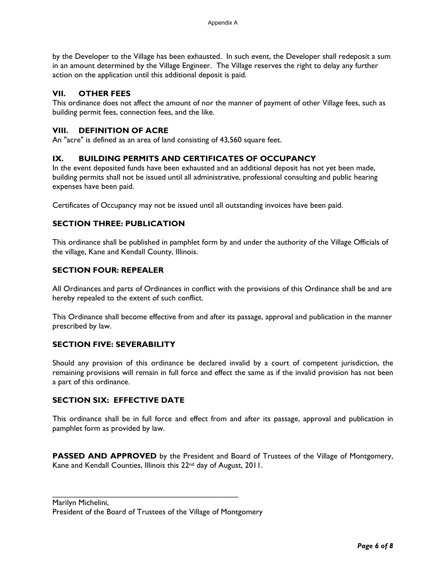by the Developer to the Village has been exhausted. In such event, the Developer shall redeposit a sum in an amount determined by the Village Engineer. The Village reserves the right to delay any further action on the application until this additional deposit is paid.

### **VII. OTHER FEES**

This ordinance does not affect the amount of nor the manner of payment of other Village fees, such as building permit fees, connection fees, and the like.

### **VIII. DEFINITION OF ACRE**

An "acre" is defined as an area of land consisting of 43,560 square feet.

### **IX. BUILDING PERMITS AND CERTIFICATES OF OCCUPANCY**

In the event deposited funds have been exhausted and an additional deposit has not yet been made, building permits shall not be issued until all administrative, professional consulting and public hearing expenses have been paid.

Certificates of Occupancy may not be issued until all outstanding invoices have been paid.

### **SECTION THREE: PUBLICATION**

This ordinance shall be published in pamphlet form by and under the authority of the Village Officials of the village, Kane and Kendall County, Illinois.

### **SECTION FOUR: REPEALER**

All Ordinances and parts of Ordinances in conflict with the provisions of this Ordinance shall be and are hereby repealed to the extent of such conflict.

This Ordinance shall become effective from and after its passage, approval and publication in the manner prescribed by law.

# **SECTION FIVE: SEVERABILITY**

Should any provision of this ordinance be declared invalid by a court of competent jurisdiction, the remaining provisions will remain in full force and effect the same as if the invalid provision has not been a part of this ordinance.

### **SECTION SIX: EFFECTIVE DATE**

This ordinance shall be in full force and effect from and after its passage, approval and publication in pamphlet form as provided by law.

PASSED AND APPROVED by the President and Board of Trustees of the Village of Montgomery, Kane and Kendall Counties, Illinois this 22<sup>nd</sup> day of August, 2011.

Marilyn Michelini, President of the Board of Trustees of the Village of Montgomery

\_\_\_\_\_\_\_\_\_\_\_\_\_\_\_\_\_\_\_\_\_\_\_\_\_\_\_\_\_\_\_\_\_\_\_\_\_\_\_\_\_\_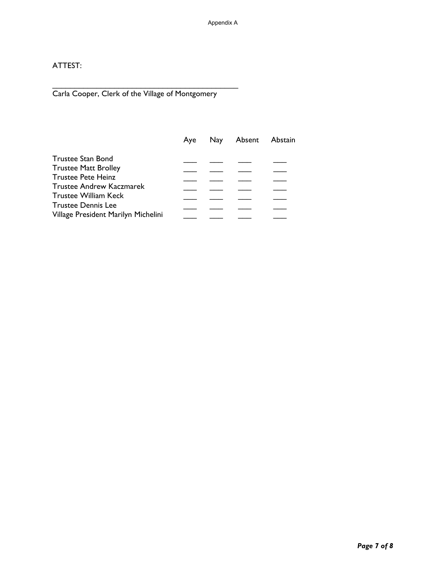# ATTEST:

Carla Cooper, Clerk of the Village of Montgomery

\_\_\_\_\_\_\_\_\_\_\_\_\_\_\_\_\_\_\_\_\_\_\_\_\_\_\_\_\_\_\_\_\_\_\_\_\_\_\_\_\_\_

|                                     | Ave | Nay Absent Abstain |  |
|-------------------------------------|-----|--------------------|--|
| Trustee Stan Bond                   |     |                    |  |
| <b>Trustee Matt Brolley</b>         |     |                    |  |
| <b>Trustee Pete Heinz</b>           |     |                    |  |
| <b>Trustee Andrew Kaczmarek</b>     |     |                    |  |
| <b>Trustee William Keck</b>         |     |                    |  |
| <b>Trustee Dennis Lee</b>           |     |                    |  |
| Village President Marilyn Michelini |     |                    |  |